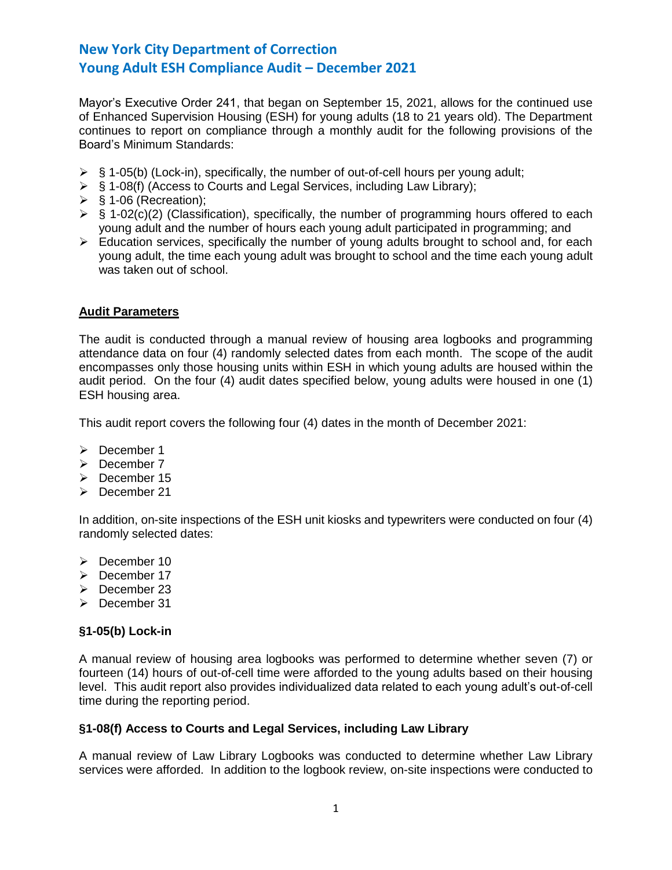Mayor's Executive Order 241, that began on September 15, 2021, allows for the continued use of Enhanced Supervision Housing (ESH) for young adults (18 to 21 years old). The Department continues to report on compliance through a monthly audit for the following provisions of the Board's Minimum Standards:

- $\triangleright$  § 1-05(b) (Lock-in), specifically, the number of out-of-cell hours per young adult;
- ➢ § 1-08(f) (Access to Courts and Legal Services, including Law Library);
- $\triangleright$  § 1-06 (Recreation);
- $\triangleright$  § 1-02(c)(2) (Classification), specifically, the number of programming hours offered to each young adult and the number of hours each young adult participated in programming; and
- ➢ Education services, specifically the number of young adults brought to school and, for each young adult, the time each young adult was brought to school and the time each young adult was taken out of school.

### **Audit Parameters**

The audit is conducted through a manual review of housing area logbooks and programming attendance data on four (4) randomly selected dates from each month. The scope of the audit encompasses only those housing units within ESH in which young adults are housed within the audit period. On the four (4) audit dates specified below, young adults were housed in one (1) ESH housing area.

This audit report covers the following four (4) dates in the month of December 2021:

- ➢ December 1
- ➢ December 7
- ➢ December 15
- ➢ December 21

In addition, on-site inspections of the ESH unit kiosks and typewriters were conducted on four (4) randomly selected dates:

- ➢ December 10
- ➢ December 17
- ➢ December 23
- ➢ December 31

## **§1-05(b) Lock-in**

A manual review of housing area logbooks was performed to determine whether seven (7) or fourteen (14) hours of out-of-cell time were afforded to the young adults based on their housing level. This audit report also provides individualized data related to each young adult's out-of-cell time during the reporting period.

## **§1-08(f) Access to Courts and Legal Services, including Law Library**

A manual review of Law Library Logbooks was conducted to determine whether Law Library services were afforded. In addition to the logbook review, on-site inspections were conducted to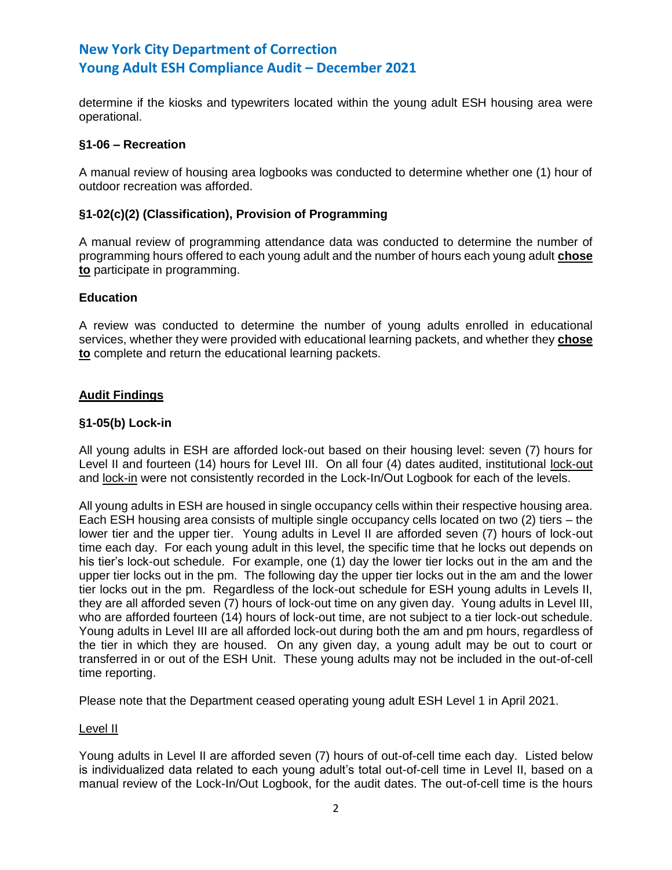determine if the kiosks and typewriters located within the young adult ESH housing area were operational.

### **§1-06 – Recreation**

A manual review of housing area logbooks was conducted to determine whether one (1) hour of outdoor recreation was afforded.

### **§1-02(c)(2) (Classification), Provision of Programming**

A manual review of programming attendance data was conducted to determine the number of programming hours offered to each young adult and the number of hours each young adult **chose to** participate in programming.

## **Education**

A review was conducted to determine the number of young adults enrolled in educational services, whether they were provided with educational learning packets, and whether they **chose to** complete and return the educational learning packets.

## **Audit Findings**

### **§1-05(b) Lock-in**

All young adults in ESH are afforded lock-out based on their housing level: seven (7) hours for Level II and fourteen (14) hours for Level III. On all four (4) dates audited, institutional lock-out and lock-in were not consistently recorded in the Lock-In/Out Logbook for each of the levels.

All young adults in ESH are housed in single occupancy cells within their respective housing area. Each ESH housing area consists of multiple single occupancy cells located on two (2) tiers – the lower tier and the upper tier. Young adults in Level II are afforded seven (7) hours of lock-out time each day. For each young adult in this level, the specific time that he locks out depends on his tier's lock-out schedule. For example, one (1) day the lower tier locks out in the am and the upper tier locks out in the pm. The following day the upper tier locks out in the am and the lower tier locks out in the pm. Regardless of the lock-out schedule for ESH young adults in Levels II, they are all afforded seven (7) hours of lock-out time on any given day. Young adults in Level III, who are afforded fourteen (14) hours of lock-out time, are not subject to a tier lock-out schedule. Young adults in Level III are all afforded lock-out during both the am and pm hours, regardless of the tier in which they are housed. On any given day, a young adult may be out to court or transferred in or out of the ESH Unit. These young adults may not be included in the out-of-cell time reporting.

Please note that the Department ceased operating young adult ESH Level 1 in April 2021.

#### Level II

Young adults in Level II are afforded seven (7) hours of out-of-cell time each day. Listed below is individualized data related to each young adult's total out-of-cell time in Level II, based on a manual review of the Lock-In/Out Logbook, for the audit dates. The out-of-cell time is the hours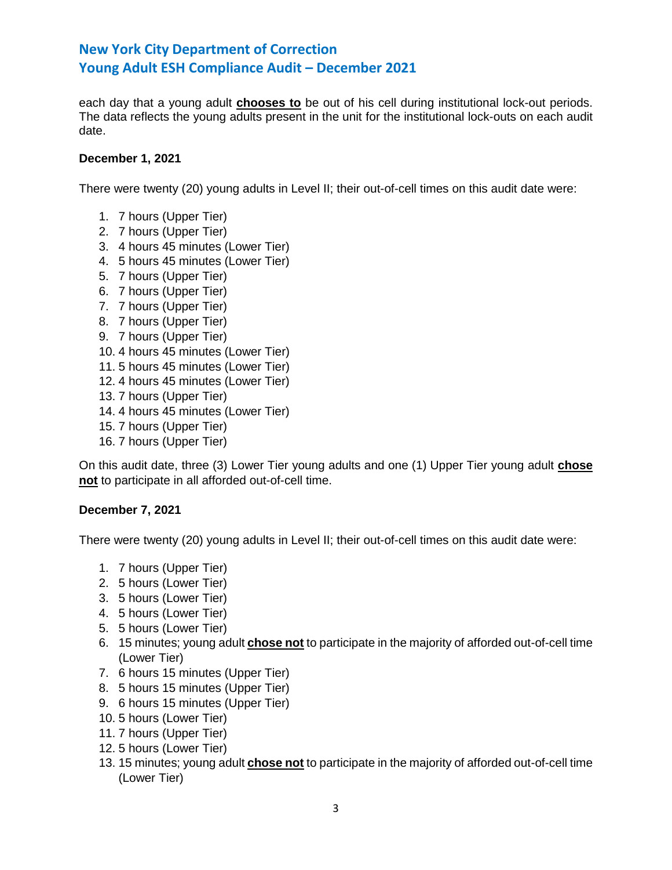each day that a young adult **chooses to** be out of his cell during institutional lock-out periods. The data reflects the young adults present in the unit for the institutional lock-outs on each audit date.

### **December 1, 2021**

There were twenty (20) young adults in Level II; their out-of-cell times on this audit date were:

- 1. 7 hours (Upper Tier)
- 2. 7 hours (Upper Tier)
- 3. 4 hours 45 minutes (Lower Tier)
- 4. 5 hours 45 minutes (Lower Tier)
- 5. 7 hours (Upper Tier)
- 6. 7 hours (Upper Tier)
- 7. 7 hours (Upper Tier)
- 8. 7 hours (Upper Tier)
- 9. 7 hours (Upper Tier)
- 10. 4 hours 45 minutes (Lower Tier)
- 11. 5 hours 45 minutes (Lower Tier)
- 12. 4 hours 45 minutes (Lower Tier)
- 13. 7 hours (Upper Tier)
- 14. 4 hours 45 minutes (Lower Tier)
- 15. 7 hours (Upper Tier)
- 16. 7 hours (Upper Tier)

On this audit date, three (3) Lower Tier young adults and one (1) Upper Tier young adult **chose not** to participate in all afforded out-of-cell time.

#### **December 7, 2021**

There were twenty (20) young adults in Level II; their out-of-cell times on this audit date were:

- 1. 7 hours (Upper Tier)
- 2. 5 hours (Lower Tier)
- 3. 5 hours (Lower Tier)
- 4. 5 hours (Lower Tier)
- 5. 5 hours (Lower Tier)
- 6. 15 minutes; young adult **chose not** to participate in the majority of afforded out-of-cell time (Lower Tier)
- 7. 6 hours 15 minutes (Upper Tier)
- 8. 5 hours 15 minutes (Upper Tier)
- 9. 6 hours 15 minutes (Upper Tier)
- 10. 5 hours (Lower Tier)
- 11. 7 hours (Upper Tier)
- 12. 5 hours (Lower Tier)
- 13. 15 minutes; young adult **chose not** to participate in the majority of afforded out-of-cell time (Lower Tier)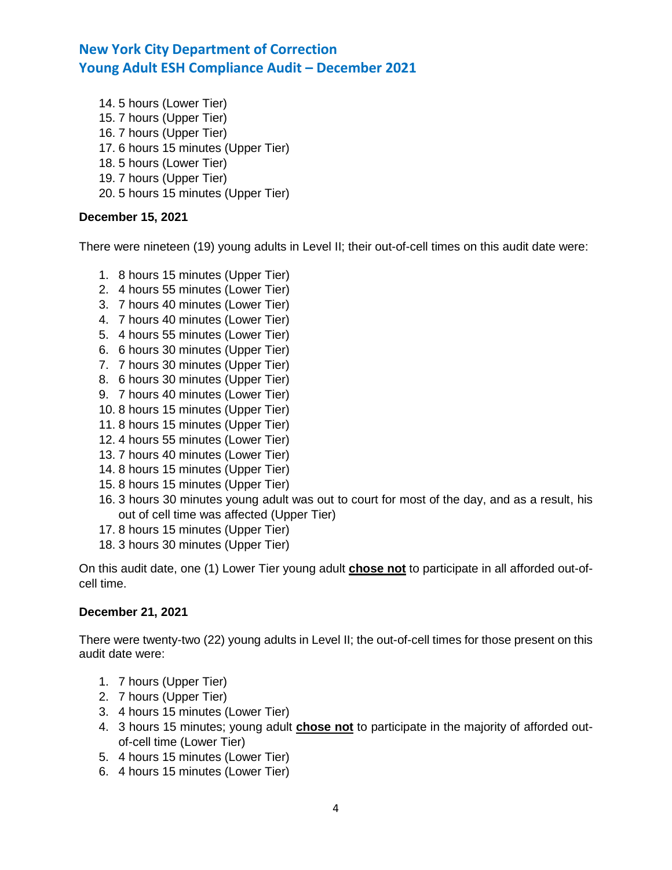14. 5 hours (Lower Tier) 15. 7 hours (Upper Tier) 16. 7 hours (Upper Tier) 17. 6 hours 15 minutes (Upper Tier) 18. 5 hours (Lower Tier) 19. 7 hours (Upper Tier) 20. 5 hours 15 minutes (Upper Tier)

## **December 15, 2021**

There were nineteen (19) young adults in Level II; their out-of-cell times on this audit date were:

- 1. 8 hours 15 minutes (Upper Tier)
- 2. 4 hours 55 minutes (Lower Tier)
- 3. 7 hours 40 minutes (Lower Tier)
- 4. 7 hours 40 minutes (Lower Tier)
- 5. 4 hours 55 minutes (Lower Tier)
- 6. 6 hours 30 minutes (Upper Tier)
- 7. 7 hours 30 minutes (Upper Tier)
- 8. 6 hours 30 minutes (Upper Tier)
- 9. 7 hours 40 minutes (Lower Tier)
- 10. 8 hours 15 minutes (Upper Tier)
- 11. 8 hours 15 minutes (Upper Tier)
- 12. 4 hours 55 minutes (Lower Tier)
- 13. 7 hours 40 minutes (Lower Tier)
- 14. 8 hours 15 minutes (Upper Tier)
- 15. 8 hours 15 minutes (Upper Tier)
- 16. 3 hours 30 minutes young adult was out to court for most of the day, and as a result, his out of cell time was affected (Upper Tier)
- 17. 8 hours 15 minutes (Upper Tier)
- 18. 3 hours 30 minutes (Upper Tier)

On this audit date, one (1) Lower Tier young adult **chose not** to participate in all afforded out-ofcell time.

## **December 21, 2021**

There were twenty-two (22) young adults in Level II; the out-of-cell times for those present on this audit date were:

- 1. 7 hours (Upper Tier)
- 2. 7 hours (Upper Tier)
- 3. 4 hours 15 minutes (Lower Tier)
- 4. 3 hours 15 minutes; young adult **chose not** to participate in the majority of afforded outof-cell time (Lower Tier)
- 5. 4 hours 15 minutes (Lower Tier)
- 6. 4 hours 15 minutes (Lower Tier)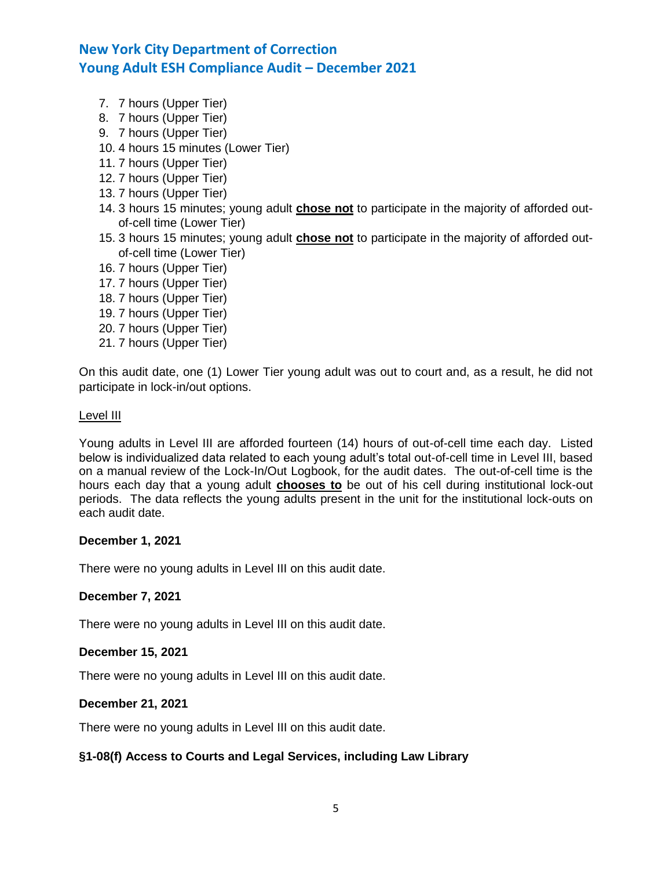- 7. 7 hours (Upper Tier)
- 8. 7 hours (Upper Tier)
- 9. 7 hours (Upper Tier)
- 10. 4 hours 15 minutes (Lower Tier)
- 11. 7 hours (Upper Tier)
- 12. 7 hours (Upper Tier)
- 13. 7 hours (Upper Tier)
- 14. 3 hours 15 minutes; young adult **chose not** to participate in the majority of afforded outof-cell time (Lower Tier)
- 15. 3 hours 15 minutes; young adult **chose not** to participate in the majority of afforded outof-cell time (Lower Tier)
- 16. 7 hours (Upper Tier)
- 17. 7 hours (Upper Tier)
- 18. 7 hours (Upper Tier)
- 19. 7 hours (Upper Tier)
- 20. 7 hours (Upper Tier)
- 21. 7 hours (Upper Tier)

On this audit date, one (1) Lower Tier young adult was out to court and, as a result, he did not participate in lock-in/out options.

#### Level III

Young adults in Level III are afforded fourteen (14) hours of out-of-cell time each day. Listed below is individualized data related to each young adult's total out-of-cell time in Level III, based on a manual review of the Lock-In/Out Logbook, for the audit dates. The out-of-cell time is the hours each day that a young adult **chooses to** be out of his cell during institutional lock-out periods. The data reflects the young adults present in the unit for the institutional lock-outs on each audit date.

#### **December 1, 2021**

There were no young adults in Level III on this audit date.

#### **December 7, 2021**

There were no young adults in Level III on this audit date.

#### **December 15, 2021**

There were no young adults in Level III on this audit date.

#### **December 21, 2021**

There were no young adults in Level III on this audit date.

## **§1-08(f) Access to Courts and Legal Services, including Law Library**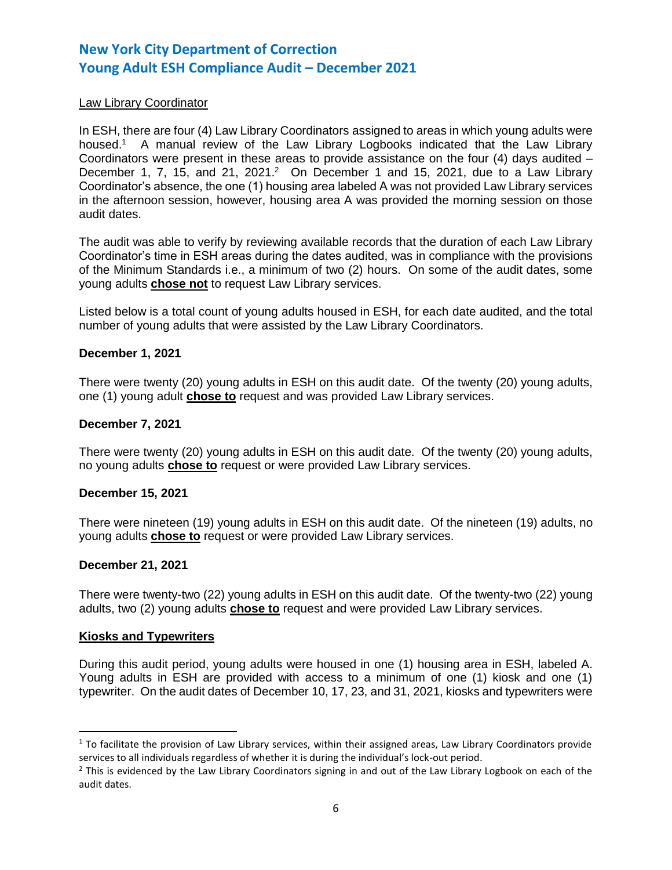### Law Library Coordinator

In ESH, there are four (4) Law Library Coordinators assigned to areas in which young adults were housed.<sup>1</sup> A manual review of the Law Library Logbooks indicated that the Law Library Coordinators were present in these areas to provide assistance on the four  $(4)$  days audited  $-$ December 1, 7, 15, and 21, 2021.<sup>2</sup> On December 1 and 15, 2021, due to a Law Library Coordinator's absence, the one (1) housing area labeled A was not provided Law Library services in the afternoon session, however, housing area A was provided the morning session on those audit dates.

The audit was able to verify by reviewing available records that the duration of each Law Library Coordinator's time in ESH areas during the dates audited, was in compliance with the provisions of the Minimum Standards i.e., a minimum of two (2) hours. On some of the audit dates, some young adults **chose not** to request Law Library services.

Listed below is a total count of young adults housed in ESH, for each date audited, and the total number of young adults that were assisted by the Law Library Coordinators.

#### **December 1, 2021**

There were twenty (20) young adults in ESH on this audit date. Of the twenty (20) young adults, one (1) young adult **chose to** request and was provided Law Library services.

#### **December 7, 2021**

There were twenty (20) young adults in ESH on this audit date. Of the twenty (20) young adults, no young adults **chose to** request or were provided Law Library services.

#### **December 15, 2021**

There were nineteen (19) young adults in ESH on this audit date. Of the nineteen (19) adults, no young adults **chose to** request or were provided Law Library services.

#### **December 21, 2021**

There were twenty-two (22) young adults in ESH on this audit date. Of the twenty-two (22) young adults, two (2) young adults **chose to** request and were provided Law Library services.

#### **Kiosks and Typewriters**

l

During this audit period, young adults were housed in one (1) housing area in ESH, labeled A. Young adults in ESH are provided with access to a minimum of one (1) kiosk and one (1) typewriter. On the audit dates of December 10, 17, 23, and 31, 2021, kiosks and typewriters were

 $1$  To facilitate the provision of Law Library services, within their assigned areas, Law Library Coordinators provide services to all individuals regardless of whether it is during the individual's lock-out period.

 $<sup>2</sup>$  This is evidenced by the Law Library Coordinators signing in and out of the Law Library Logbook on each of the</sup> audit dates.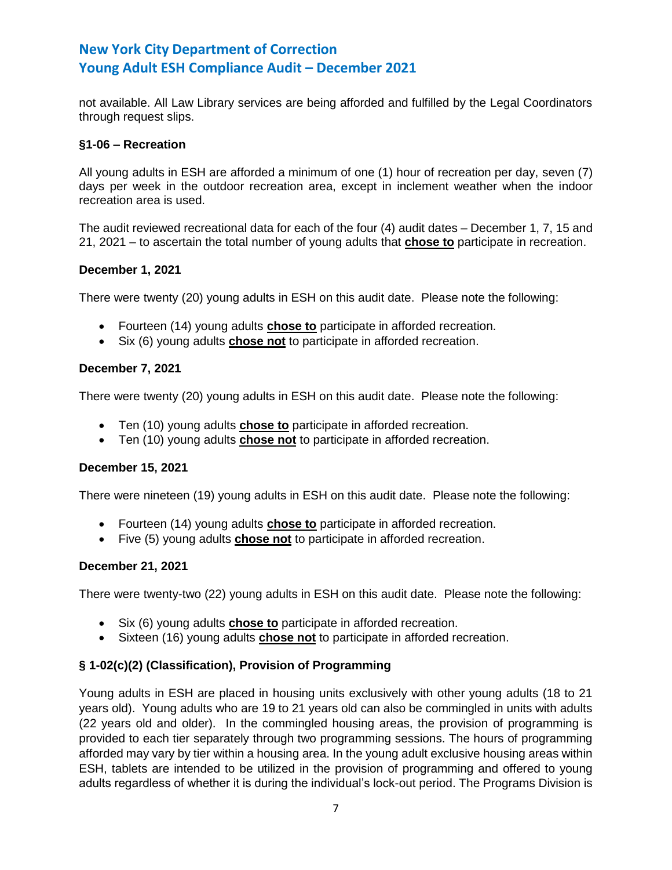not available. All Law Library services are being afforded and fulfilled by the Legal Coordinators through request slips.

## **§1-06 – Recreation**

All young adults in ESH are afforded a minimum of one (1) hour of recreation per day, seven (7) days per week in the outdoor recreation area, except in inclement weather when the indoor recreation area is used.

The audit reviewed recreational data for each of the four (4) audit dates – December 1, 7, 15 and 21, 2021 – to ascertain the total number of young adults that **chose to** participate in recreation.

## **December 1, 2021**

There were twenty (20) young adults in ESH on this audit date. Please note the following:

- Fourteen (14) young adults **chose to** participate in afforded recreation.
- Six (6) young adults **chose not** to participate in afforded recreation.

## **December 7, 2021**

There were twenty (20) young adults in ESH on this audit date. Please note the following:

- Ten (10) young adults **chose to** participate in afforded recreation.
- Ten (10) young adults **chose not** to participate in afforded recreation.

## **December 15, 2021**

There were nineteen (19) young adults in ESH on this audit date. Please note the following:

- Fourteen (14) young adults **chose to** participate in afforded recreation.
- Five (5) young adults **chose not** to participate in afforded recreation.

## **December 21, 2021**

There were twenty-two (22) young adults in ESH on this audit date. Please note the following:

- Six (6) young adults **chose to** participate in afforded recreation.
- Sixteen (16) young adults **chose not** to participate in afforded recreation.

## **§ 1-02(c)(2) (Classification), Provision of Programming**

Young adults in ESH are placed in housing units exclusively with other young adults (18 to 21 years old). Young adults who are 19 to 21 years old can also be commingled in units with adults (22 years old and older). In the commingled housing areas, the provision of programming is provided to each tier separately through two programming sessions. The hours of programming afforded may vary by tier within a housing area. In the young adult exclusive housing areas within ESH, tablets are intended to be utilized in the provision of programming and offered to young adults regardless of whether it is during the individual's lock-out period. The Programs Division is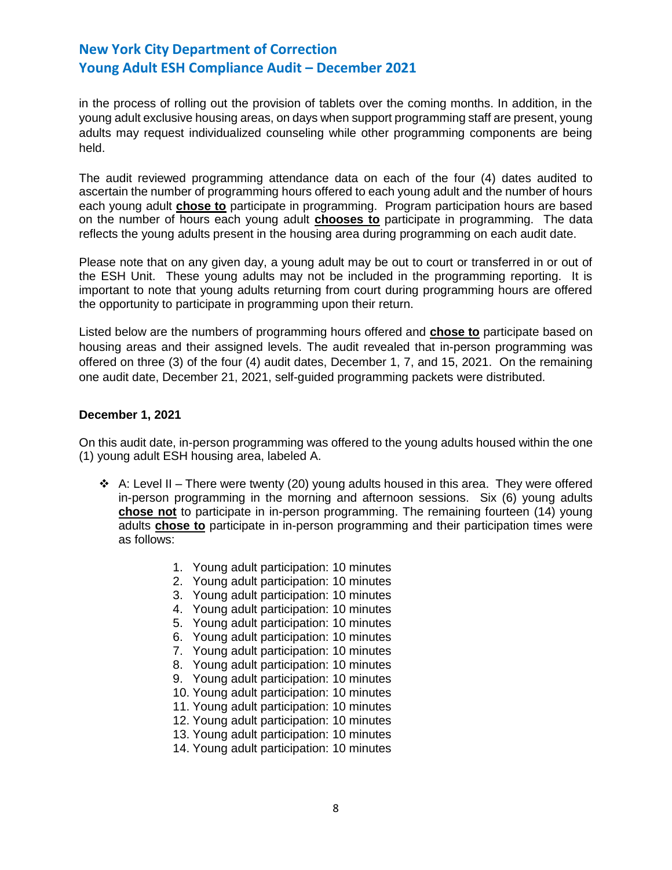in the process of rolling out the provision of tablets over the coming months. In addition, in the young adult exclusive housing areas, on days when support programming staff are present, young adults may request individualized counseling while other programming components are being held.

The audit reviewed programming attendance data on each of the four (4) dates audited to ascertain the number of programming hours offered to each young adult and the number of hours each young adult **chose to** participate in programming. Program participation hours are based on the number of hours each young adult **chooses to** participate in programming. The data reflects the young adults present in the housing area during programming on each audit date.

Please note that on any given day, a young adult may be out to court or transferred in or out of the ESH Unit. These young adults may not be included in the programming reporting. It is important to note that young adults returning from court during programming hours are offered the opportunity to participate in programming upon their return.

Listed below are the numbers of programming hours offered and **chose to** participate based on housing areas and their assigned levels. The audit revealed that in-person programming was offered on three (3) of the four (4) audit dates, December 1, 7, and 15, 2021. On the remaining one audit date, December 21, 2021, self-guided programming packets were distributed.

### **December 1, 2021**

On this audit date, in-person programming was offered to the young adults housed within the one (1) young adult ESH housing area, labeled A.

- $\div$  A: Level II There were twenty (20) young adults housed in this area. They were offered in-person programming in the morning and afternoon sessions. Six (6) young adults **chose not** to participate in in-person programming. The remaining fourteen (14) young adults **chose to** participate in in-person programming and their participation times were as follows:
	- 1. Young adult participation: 10 minutes
	- 2. Young adult participation: 10 minutes
	- 3. Young adult participation: 10 minutes
	- 4. Young adult participation: 10 minutes
	- 5. Young adult participation: 10 minutes
	- 6. Young adult participation: 10 minutes
	- 7. Young adult participation: 10 minutes
	- 8. Young adult participation: 10 minutes
	- 9. Young adult participation: 10 minutes
	- 10. Young adult participation: 10 minutes
	- 11. Young adult participation: 10 minutes
	- 12. Young adult participation: 10 minutes
	- 13. Young adult participation: 10 minutes
	- 14. Young adult participation: 10 minutes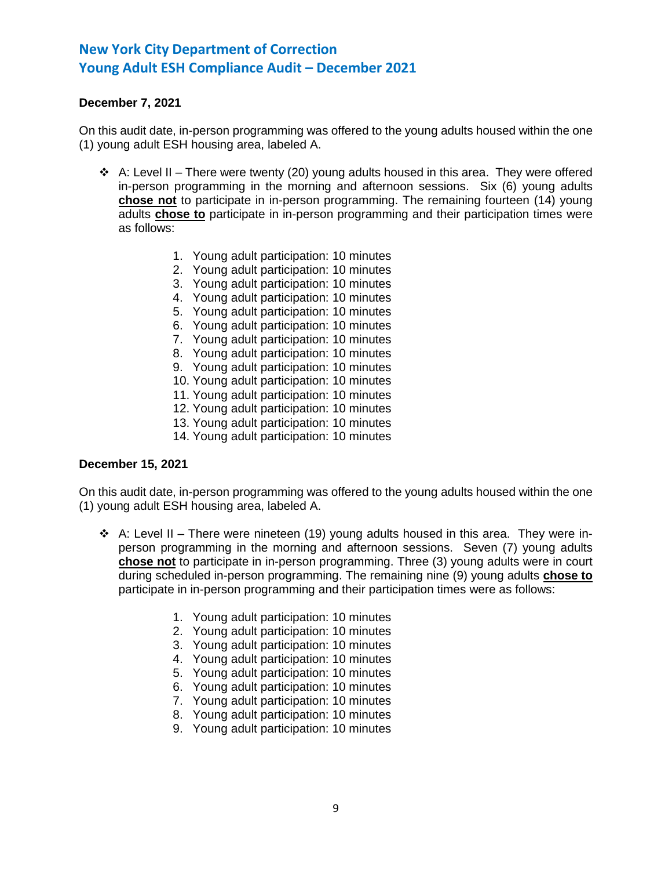## **December 7, 2021**

On this audit date, in-person programming was offered to the young adults housed within the one (1) young adult ESH housing area, labeled A.

- $\triangleleft$  A: Level II There were twenty (20) young adults housed in this area. They were offered in-person programming in the morning and afternoon sessions. Six (6) young adults **chose not** to participate in in-person programming. The remaining fourteen (14) young adults **chose to** participate in in-person programming and their participation times were as follows:
	- 1. Young adult participation: 10 minutes
	- 2. Young adult participation: 10 minutes
	- 3. Young adult participation: 10 minutes
	- 4. Young adult participation: 10 minutes
	- 5. Young adult participation: 10 minutes
	- 6. Young adult participation: 10 minutes
	- 7. Young adult participation: 10 minutes
	- 8. Young adult participation: 10 minutes
	- 9. Young adult participation: 10 minutes
	- 10. Young adult participation: 10 minutes
	- 11. Young adult participation: 10 minutes
	- 12. Young adult participation: 10 minutes
	- 13. Young adult participation: 10 minutes
	- 14. Young adult participation: 10 minutes

#### **December 15, 2021**

On this audit date, in-person programming was offered to the young adults housed within the one (1) young adult ESH housing area, labeled A.

- $\div$  A: Level II There were nineteen (19) young adults housed in this area. They were inperson programming in the morning and afternoon sessions. Seven (7) young adults **chose not** to participate in in-person programming. Three (3) young adults were in court during scheduled in-person programming. The remaining nine (9) young adults **chose to** participate in in-person programming and their participation times were as follows:
	- 1. Young adult participation: 10 minutes
	- 2. Young adult participation: 10 minutes
	- 3. Young adult participation: 10 minutes
	- 4. Young adult participation: 10 minutes
	- 5. Young adult participation: 10 minutes
	- 6. Young adult participation: 10 minutes
	- 7. Young adult participation: 10 minutes
	- 8. Young adult participation: 10 minutes
	- 9. Young adult participation: 10 minutes